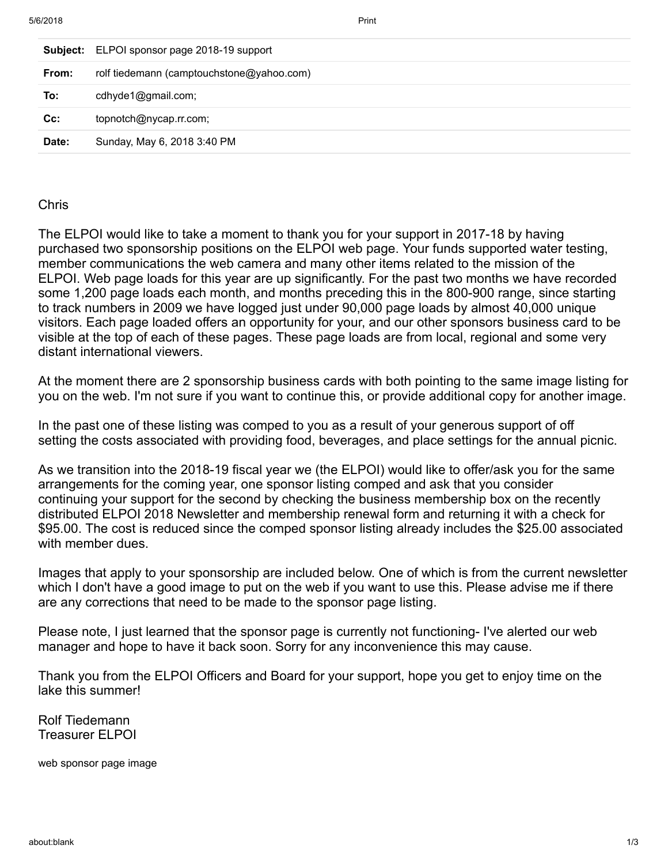|       | <b>Subject:</b> ELPOI sponsor page 2018-19 support |
|-------|----------------------------------------------------|
| From: | rolf tiedemann (camptouchstone@yahoo.com)          |
| To:   | cdhyde1@gmail.com;                                 |
| cc:   | topnotch@nycap.rr.com;                             |
| Date: | Sunday, May 6, 2018 3:40 PM                        |
|       |                                                    |

## Chris

The ELPOI would like to take a moment to thank you for your support in 2017-18 by having purchased two sponsorship positions on the ELPOI web page. Your funds supported water testing, member communications the web camera and many other items related to the mission of the ELPOI. Web page loads for this year are up significantly. For the past two months we have recorded some 1,200 page loads each month, and months preceding this in the 800-900 range, since starting to track numbers in 2009 we have logged just under 90,000 page loads by almost 40,000 unique visitors. Each page loaded offers an opportunity for your, and our other sponsors business card to be visible at the top of each of these pages. These page loads are from local, regional and some very distant international viewers.

At the moment there are 2 sponsorship business cards with both pointing to the same image listing for you on the web. I'm not sure if you want to continue this, or provide additional copy for another image.

In the past one of these listing was comped to you as a result of your generous support of off setting the costs associated with providing food, beverages, and place settings for the annual picnic.

As we transition into the 2018-19 fiscal year we (the ELPOI) would like to offer/ask you for the same arrangements for the coming year, one sponsor listing comped and ask that you consider continuing your support for the second by checking the business membership box on the recently distributed ELPOI 2018 Newsletter and membership renewal form and returning it with a check for \$95.00. The cost is reduced since the comped sponsor listing already includes the \$25.00 associated with member dues.

Images that apply to your sponsorship are included below. One of which is from the current newsletter which I don't have a good image to put on the web if you want to use this. Please advise me if there are any corrections that need to be made to the sponsor page listing.

Please note, I just learned that the sponsor page is currently not functioning- I've alerted our web manager and hope to have it back soon. Sorry for any inconvenience this may cause.

Thank you from the ELPOI Officers and Board for your support, hope you get to enjoy time on the lake this summer!

Rolf Tiedemann Treasurer ELPOI

web sponsor page image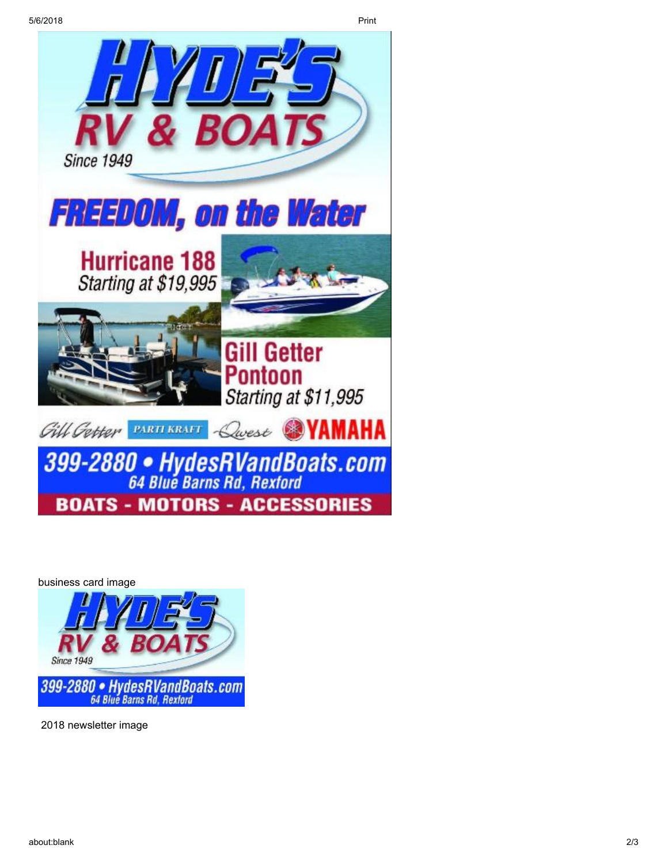

business card image Since 1949

399-2880 • HydesRVandBoats.com

2018 newsletter image